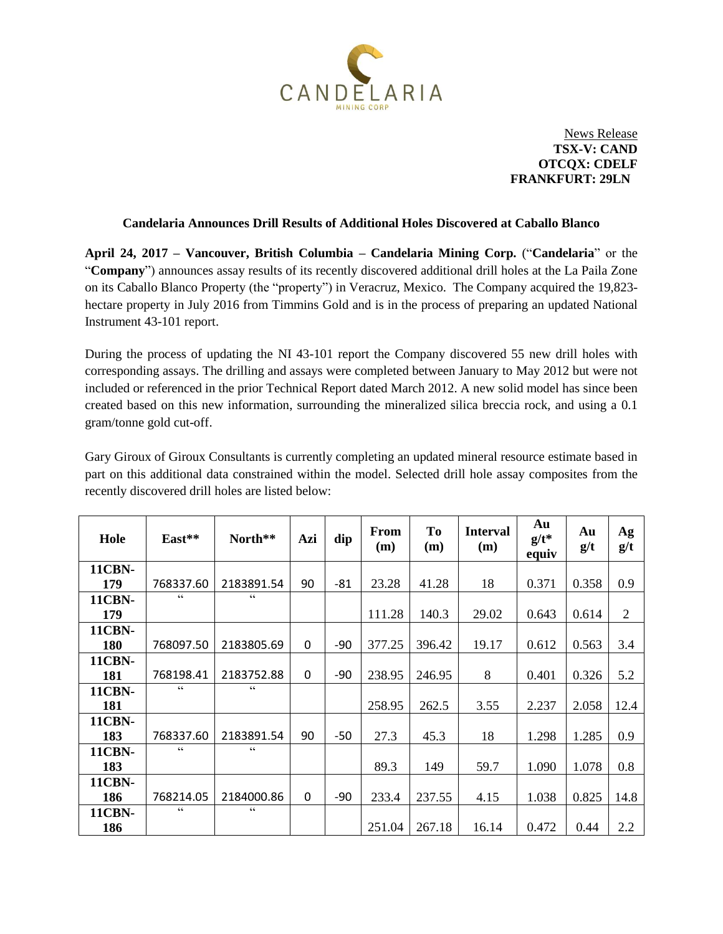

News Release **TSX-V: CAND OTCQX: CDELF** **FRANKFURT: 29LN**

## **Candelaria Announces Drill Results of Additional Holes Discovered at Caballo Blanco**

**April 24, 2017 – Vancouver, British Columbia – Candelaria Mining Corp.** ("**Candelaria**" or the "**Company**") announces assay results of its recently discovered additional drill holes at the La Paila Zone on its Caballo Blanco Property (the "property") in Veracruz, Mexico. The Company acquired the 19,823 hectare property in July 2016 from Timmins Gold and is in the process of preparing an updated National Instrument 43-101 report.

During the process of updating the NI 43-101 report the Company discovered 55 new drill holes with corresponding assays. The drilling and assays were completed between January to May 2012 but were not included or referenced in the prior Technical Report dated March 2012. A new solid model has since been created based on this new information, surrounding the mineralized silica breccia rock, and using a 0.1 gram/tonne gold cut-off.

Gary Giroux of Giroux Consultants is currently completing an updated mineral resource estimate based in part on this additional data constrained within the model. Selected drill hole assay composites from the recently discovered drill holes are listed below:

| Hole          | East**          | North**         | Azi | dip   | From<br>(m) | <b>To</b><br>(m) | <b>Interval</b><br>(m) | Au<br>$g/t^*$<br>equiv | Au<br>g/t | Ag<br>g/t      |
|---------------|-----------------|-----------------|-----|-------|-------------|------------------|------------------------|------------------------|-----------|----------------|
| <b>11CBN-</b> |                 |                 |     |       |             |                  |                        |                        |           |                |
| 179           | 768337.60       | 2183891.54      | 90  | $-81$ | 23.28       | 41.28            | 18                     | 0.371                  | 0.358     | 0.9            |
| <b>11CBN-</b> | $\zeta$ $\zeta$ | C               |     |       |             |                  |                        |                        |           |                |
| 179           |                 |                 |     |       | 111.28      | 140.3            | 29.02                  | 0.643                  | 0.614     | $\overline{2}$ |
| <b>11CBN-</b> |                 |                 |     |       |             |                  |                        |                        |           |                |
| 180           | 768097.50       | 2183805.69      | 0   | $-90$ | 377.25      | 396.42           | 19.17                  | 0.612                  | 0.563     | 3.4            |
| <b>11CBN-</b> |                 |                 |     |       |             |                  |                        |                        |           |                |
| 181           | 768198.41       | 2183752.88      | 0   | -90   | 238.95      | 246.95           | 8                      | 0.401                  | 0.326     | 5.2            |
| <b>11CBN-</b> | C C             | $\zeta$ $\zeta$ |     |       |             |                  |                        |                        |           |                |
| 181           |                 |                 |     |       | 258.95      | 262.5            | 3.55                   | 2.237                  | 2.058     | 12.4           |
| <b>11CBN-</b> |                 |                 |     |       |             |                  |                        |                        |           |                |
| 183           | 768337.60       | 2183891.54      | 90  | $-50$ | 27.3        | 45.3             | 18                     | 1.298                  | 1.285     | 0.9            |
| <b>11CBN-</b> | $\zeta$ $\zeta$ | C               |     |       |             |                  |                        |                        |           |                |
| 183           |                 |                 |     |       | 89.3        | 149              | 59.7                   | 1.090                  | 1.078     | 0.8            |
| <b>11CBN-</b> |                 |                 |     |       |             |                  |                        |                        |           |                |
| 186           | 768214.05       | 2184000.86      | 0   | $-90$ | 233.4       | 237.55           | 4.15                   | 1.038                  | 0.825     | 14.8           |
| <b>11CBN-</b> | C               | C C             |     |       |             |                  |                        |                        |           |                |
| 186           |                 |                 |     |       | 251.04      | 267.18           | 16.14                  | 0.472                  | 0.44      | 2.2            |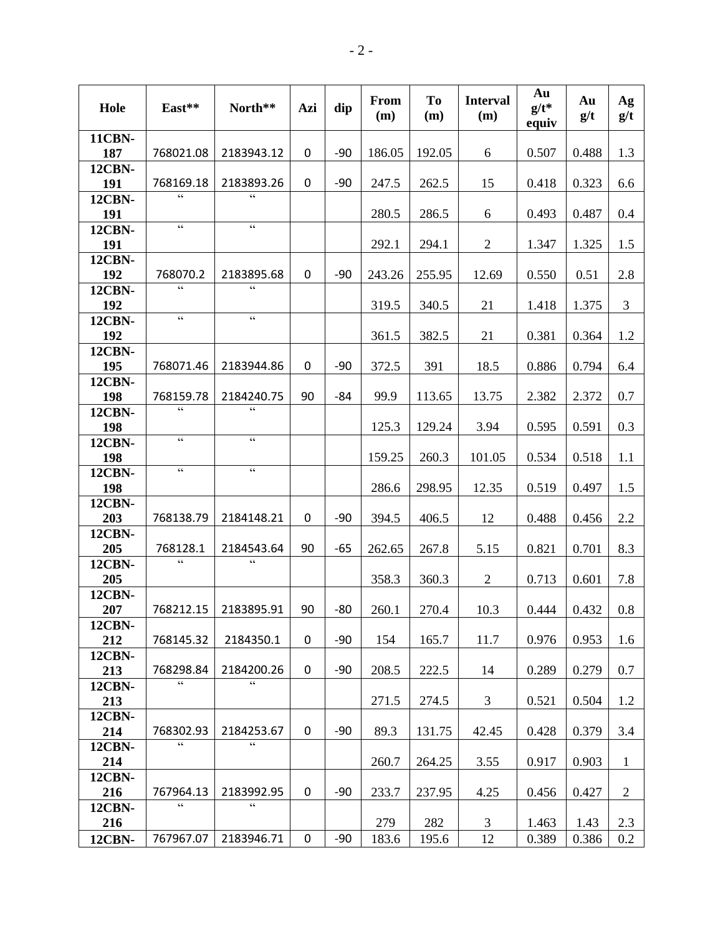| Hole                 | East**                                            | North**                                           | Azi              | dip   | From<br>(m) | <b>To</b><br>(m) | <b>Interval</b><br>(m) | Au<br>$g/t^*$<br>equiv | Au<br>g/t | Ag<br>g/t      |
|----------------------|---------------------------------------------------|---------------------------------------------------|------------------|-------|-------------|------------------|------------------------|------------------------|-----------|----------------|
| <b>11CBN-</b>        |                                                   |                                                   |                  |       |             |                  |                        |                        |           |                |
| 187                  | 768021.08                                         | 2183943.12                                        | 0                | $-90$ | 186.05      | 192.05           | 6                      | 0.507                  | 0.488     | 1.3            |
| <b>12CBN-</b>        |                                                   | 2183893.26                                        | $\boldsymbol{0}$ | $-90$ |             |                  |                        |                        |           |                |
| 191<br><b>12CBN-</b> | 768169.18<br>C                                    | $\overline{\mathfrak{c}\mathfrak{c}}$             |                  |       | 247.5       | 262.5            | 15                     | 0.418                  | 0.323     | 6.6            |
| 191                  |                                                   |                                                   |                  |       | 280.5       | 286.5            | 6                      | 0.493                  | 0.487     | 0.4            |
| <b>12CBN-</b>        | $\zeta\,\zeta$                                    | $\zeta\,\zeta$                                    |                  |       |             |                  |                        |                        |           |                |
| 191                  |                                                   |                                                   |                  |       | 292.1       | 294.1            | $\overline{2}$         | 1.347                  | 1.325     | 1.5            |
| <b>12CBN-</b>        |                                                   |                                                   |                  |       |             |                  |                        |                        |           |                |
| 192                  | 768070.2<br>$\zeta$ $\zeta$                       | 2183895.68<br>$\overline{\mathbf{c}}$             | 0                | $-90$ | 243.26      | 255.95           | 12.69                  | 0.550                  | 0.51      | 2.8            |
| <b>12CBN-</b><br>192 |                                                   |                                                   |                  |       | 319.5       | 340.5            | 21                     | 1.418                  | 1.375     | $\mathfrak{Z}$ |
| <b>12CBN-</b>        | $\boldsymbol{\varsigma}$ $\boldsymbol{\varsigma}$ | $\zeta$ $\zeta$                                   |                  |       |             |                  |                        |                        |           |                |
| 192                  |                                                   |                                                   |                  |       | 361.5       | 382.5            | 21                     | 0.381                  | 0.364     | 1.2            |
| <b>12CBN-</b>        |                                                   |                                                   |                  |       |             |                  |                        |                        |           |                |
| 195                  | 768071.46                                         | 2183944.86                                        | 0                | $-90$ | 372.5       | 391              | 18.5                   | 0.886                  | 0.794     | 6.4            |
| <b>12CBN-</b><br>198 | 768159.78                                         | 2184240.75                                        | 90               | -84   | 99.9        | 113.65           | 13.75                  | 2.382                  | 2.372     | 0.7            |
| <b>12CBN-</b>        | $\zeta$ $\zeta$                                   | $\zeta$ $\zeta$                                   |                  |       |             |                  |                        |                        |           |                |
| 198                  |                                                   |                                                   |                  |       | 125.3       | 129.24           | 3.94                   | 0.595                  | 0.591     | 0.3            |
| <b>12CBN-</b>        | $\zeta$ $\zeta$                                   | $\zeta$ $\zeta$                                   |                  |       |             |                  |                        |                        |           |                |
| 198                  | $\zeta$ $\zeta$                                   | $\zeta$ $\zeta$                                   |                  |       | 159.25      | 260.3            | 101.05                 | 0.534                  | 0.518     | 1.1            |
| <b>12CBN-</b><br>198 |                                                   |                                                   |                  |       | 286.6       | 298.95           | 12.35                  | 0.519                  | 0.497     | 1.5            |
| <b>12CBN-</b>        |                                                   |                                                   |                  |       |             |                  |                        |                        |           |                |
| 203                  | 768138.79                                         | 2184148.21                                        | $\boldsymbol{0}$ | $-90$ | 394.5       | 406.5            | 12                     | 0.488                  | 0.456     | 2.2            |
| <b>12CBN-</b>        |                                                   |                                                   |                  |       |             |                  |                        |                        |           |                |
| 205                  | 768128.1<br>$\zeta\,\zeta$                        | 2184543.64<br>$\zeta$ $\zeta$                     | 90               | $-65$ | 262.65      | 267.8            | 5.15                   | 0.821                  | 0.701     | 8.3            |
| <b>12CBN-</b><br>205 |                                                   |                                                   |                  |       | 358.3       | 360.3            | $\overline{2}$         | 0.713                  | 0.601     | 7.8            |
| <b>12CBN-</b>        |                                                   |                                                   |                  |       |             |                  |                        |                        |           |                |
| 207                  | 768212.15                                         | 2183895.91                                        | 90               | $-80$ | 260.1       | 270.4            | 10.3                   | 0.444                  | 0.432     | 0.8            |
| <b>12CBN-</b>        |                                                   |                                                   |                  |       |             |                  |                        |                        |           |                |
| 212                  | 768145.32                                         | 2184350.1                                         | $\mathbf 0$      | $-90$ | 154         | 165.7            | 11.7                   | 0.976                  | 0.953     | 1.6            |
| <b>12CBN-</b><br>213 | 768298.84                                         | 2184200.26                                        | $\mathbf 0$      | $-90$ | 208.5       | 222.5            | 14                     | 0.289                  | 0.279     | 0.7            |
| <b>12CBN-</b>        | $\overline{\mathfrak{c}}$                         | $\overline{\mathfrak{c}}$                         |                  |       |             |                  |                        |                        |           |                |
| 213                  |                                                   |                                                   |                  |       | 271.5       | 274.5            | 3                      | 0.521                  | 0.504     | 1.2            |
| <b>12CBN-</b>        |                                                   |                                                   |                  |       |             |                  |                        |                        |           |                |
| 214                  | 768302.93<br>$\zeta$ $\zeta$                      | 2184253.67                                        | 0                | $-90$ | 89.3        | 131.75           | 42.45                  | 0.428                  | 0.379     | 3.4            |
| <b>12CBN-</b>        |                                                   | $\boldsymbol{\varsigma}$ $\boldsymbol{\varsigma}$ |                  |       | 260.7       |                  |                        |                        | 0.903     | $\mathbf{1}$   |
| 214<br><b>12CBN-</b> |                                                   |                                                   |                  |       |             | 264.25           | 3.55                   | 0.917                  |           |                |
| 216                  | 767964.13                                         | 2183992.95                                        | $\mathbf 0$      | $-90$ | 233.7       | 237.95           | 4.25                   | 0.456                  | 0.427     | $\overline{2}$ |
| <b>12CBN-</b>        | C                                                 | C                                                 |                  |       |             |                  |                        |                        |           |                |
| 216                  |                                                   |                                                   |                  |       | 279         | 282              | 3                      | 1.463                  | 1.43      | 2.3            |
| <b>12CBN-</b>        | 767967.07                                         | 2183946.71                                        | $\mathbf 0$      | $-90$ | 183.6       | 195.6            | 12                     | 0.389                  | 0.386     | 0.2            |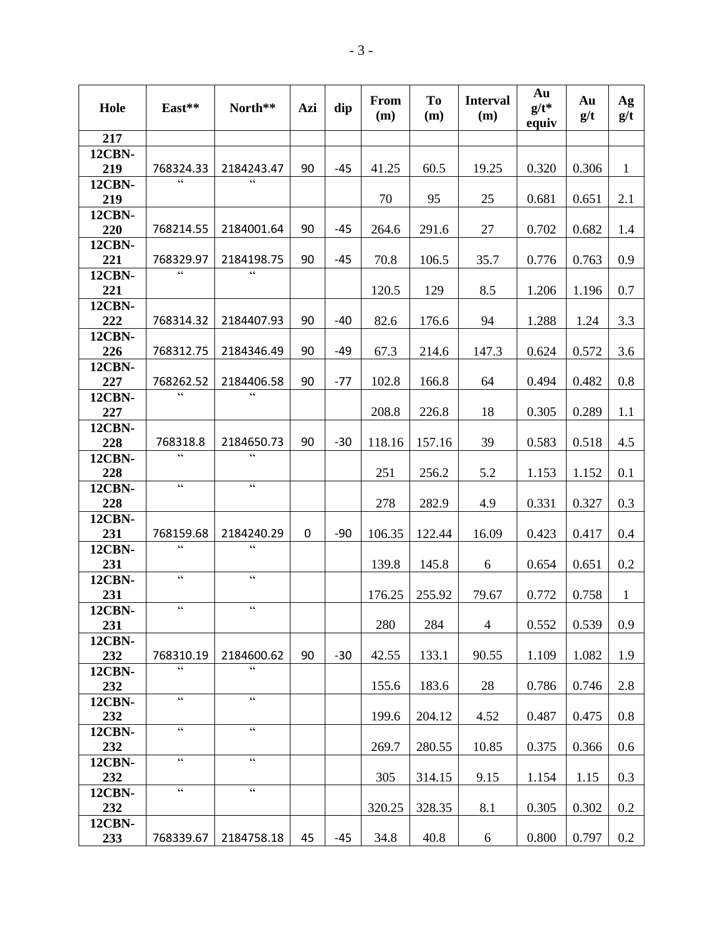| Hole                 | East**                                              | North**                                           | Azi              | dip   | <b>From</b><br>(m) | <b>To</b><br>(m) | <b>Interval</b><br>(m) | Au<br>$g/t^*$<br>equiv | Au<br>g/t | Ag<br>g/t    |
|----------------------|-----------------------------------------------------|---------------------------------------------------|------------------|-------|--------------------|------------------|------------------------|------------------------|-----------|--------------|
| 217                  |                                                     |                                                   |                  |       |                    |                  |                        |                        |           |              |
| <b>12CBN-</b><br>219 | 768324.33                                           | 2184243.47                                        | 90               | -45   | 41.25              | 60.5             | 19.25                  | 0.320                  | 0.306     | $\mathbf{1}$ |
| <b>12CBN-</b><br>219 | $\overline{\mathfrak{c}}$ $\overline{\mathfrak{c}}$ | $\overline{\mathbf{G}}$                           |                  |       | 70                 | 95               | 25                     | 0.681                  | 0.651     | 2.1          |
| <b>12CBN-</b><br>220 | 768214.55                                           | 2184001.64                                        | 90               | $-45$ | 264.6              | 291.6            | 27                     | 0.702                  | 0.682     | 1.4          |
| <b>12CBN-</b><br>221 | 768329.97                                           | 2184198.75                                        | 90               | $-45$ | 70.8               | 106.5            | 35.7                   | 0.776                  | 0.763     | 0.9          |
| <b>12CBN-</b><br>221 | $\zeta\,\zeta$                                      | cc                                                |                  |       | 120.5              | 129              | 8.5                    | 1.206                  | 1.196     | 0.7          |
| <b>12CBN-</b><br>222 | 768314.32                                           | 2184407.93                                        | 90               | $-40$ | 82.6               | 176.6            | 94                     | 1.288                  | 1.24      | 3.3          |
| <b>12CBN-</b><br>226 | 768312.75                                           | 2184346.49                                        | 90               | $-49$ | 67.3               | 214.6            | 147.3                  | 0.624                  | 0.572     | 3.6          |
| <b>12CBN-</b><br>227 | 768262.52                                           | 2184406.58                                        | 90               | $-77$ | 102.8              | 166.8            | 64                     | 0.494                  | 0.482     | 0.8          |
| <b>12CBN-</b><br>227 | C                                                   | $\overline{\mathfrak{c}\mathfrak{c}}$             |                  |       | 208.8              | 226.8            | 18                     | 0.305                  | 0.289     | 1.1          |
| <b>12CBN-</b><br>228 | 768318.8                                            | 2184650.73                                        | 90               | $-30$ | 118.16             | 157.16           | 39                     | 0.583                  | 0.518     | 4.5          |
| <b>12CBN-</b><br>228 | $\zeta$ $\zeta$                                     | $\zeta$ $\zeta$                                   |                  |       | 251                | 256.2            | 5.2                    | 1.153                  | 1.152     | 0.1          |
| <b>12CBN-</b><br>228 | $\zeta$ $\zeta$                                     | $\zeta$ $\zeta$                                   |                  |       | 278                | 282.9            | 4.9                    | 0.331                  | 0.327     | 0.3          |
| <b>12CBN-</b><br>231 | 768159.68                                           | 2184240.29                                        | $\boldsymbol{0}$ | $-90$ | 106.35             | 122.44           | 16.09                  | 0.423                  | 0.417     | 0.4          |
| <b>12CBN-</b><br>231 | $\epsilon$                                          | $\epsilon$                                        |                  |       | 139.8              | 145.8            | 6                      | 0.654                  | 0.651     | 0.2          |
| <b>12CBN-</b><br>231 | $\zeta$ $\zeta$                                     | $\zeta$ $\zeta$                                   |                  |       | 176.25             | 255.92           | 79.67                  | 0.772                  | 0.758     | $\mathbf{1}$ |
| <b>12CBN-</b><br>231 | $\zeta$ $\zeta$                                     | $\zeta$ $\zeta$                                   |                  |       | 280                | 284              | $\overline{4}$         | 0.552                  | 0.539     | 0.9          |
| <b>12CBN-</b><br>232 | 768310.19                                           | 2184600.62                                        | 90               | $-30$ | 42.55              | 133.1            | 90.55                  | 1.109                  | 1.082     | 1.9          |
| <b>12CBN-</b><br>232 | $\zeta\,\zeta$                                      | $\epsilon$                                        |                  |       | 155.6              | 183.6            | 28                     | 0.786                  | 0.746     | 2.8          |
| <b>12CBN-</b><br>232 | $\overline{\mathfrak{c}}$                           | $\overline{\mathbf{G}}$                           |                  |       | 199.6              | 204.12           | 4.52                   | 0.487                  | 0.475     | 0.8          |
| <b>12CBN-</b><br>232 | $\zeta$ $\zeta$                                     | $\zeta$ $\zeta$                                   |                  |       | 269.7              | 280.55           | 10.85                  | 0.375                  | 0.366     | 0.6          |
| <b>12CBN-</b><br>232 | $\zeta$ $\zeta$                                     | $\overline{\mathbf{c}}$                           |                  |       | 305                | 314.15           | 9.15                   | 1.154                  | 1.15      | 0.3          |
| <b>12CBN-</b><br>232 | $\boldsymbol{\varsigma}$ $\boldsymbol{\varsigma}$   | $\boldsymbol{\varsigma}$ $\boldsymbol{\varsigma}$ |                  |       | 320.25             | 328.35           | 8.1                    | 0.305                  | 0.302     | 0.2          |
| <b>12CBN-</b><br>233 | 768339.67                                           | 2184758.18                                        | 45               | $-45$ | 34.8               | 40.8             | 6                      | 0.800                  | 0.797     | $0.2\,$      |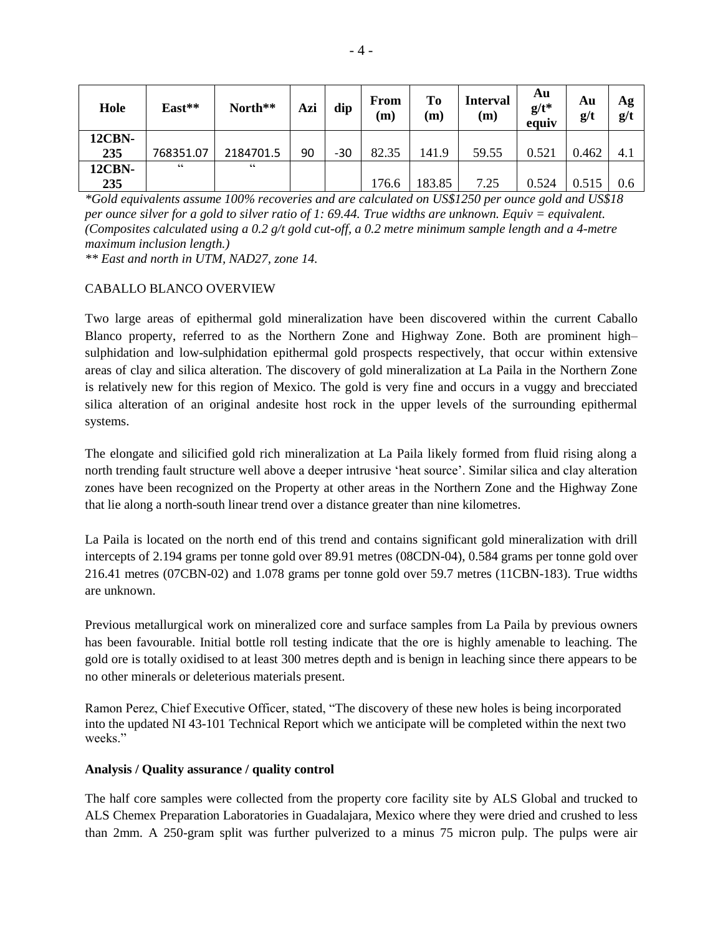| Hole          | East**     | North**   | Azi | dip   | From<br>(m) | To<br>(m) | <b>Interval</b><br>(m) | Au<br>$g/t^*$<br>equiv | Au<br>g/t | Ag<br>g/t |
|---------------|------------|-----------|-----|-------|-------------|-----------|------------------------|------------------------|-----------|-----------|
| <b>12CBN-</b> |            |           |     |       |             |           |                        |                        |           |           |
| 235           | 768351.07  | 2184701.5 | 90  | $-30$ | 82.35       | 141.9     | 59.55                  | 0.521                  | 0.462     | 4.1       |
| <b>12CBN-</b> | $\epsilon$ | C C       |     |       |             |           |                        |                        |           |           |
| 235           |            |           |     |       | 176.6       | 183.85    | 7.25                   | 0.524                  | 0.515     | 0.6       |

*\*Gold equivalents assume 100% recoveries and are calculated on US\$1250 per ounce gold and US\$18 per ounce silver for a gold to silver ratio of 1: 69.44. True widths are unknown. Equiv = equivalent. (Composites calculated using a 0.2 g/t gold cut-off, a 0.2 metre minimum sample length and a 4-metre maximum inclusion length.)*

*\*\* East and north in UTM, NAD27, zone 14.*

## CABALLO BLANCO OVERVIEW

Two large areas of epithermal gold mineralization have been discovered within the current Caballo Blanco property, referred to as the Northern Zone and Highway Zone. Both are prominent high– sulphidation and low-sulphidation epithermal gold prospects respectively, that occur within extensive areas of clay and silica alteration. The discovery of gold mineralization at La Paila in the Northern Zone is relatively new for this region of Mexico. The gold is very fine and occurs in a vuggy and brecciated silica alteration of an original andesite host rock in the upper levels of the surrounding epithermal systems.

The elongate and silicified gold rich mineralization at La Paila likely formed from fluid rising along a north trending fault structure well above a deeper intrusive 'heat source'. Similar silica and clay alteration zones have been recognized on the Property at other areas in the Northern Zone and the Highway Zone that lie along a north-south linear trend over a distance greater than nine kilometres.

La Paila is located on the north end of this trend and contains significant gold mineralization with drill intercepts of 2.194 grams per tonne gold over 89.91 metres (08CDN-04), 0.584 grams per tonne gold over 216.41 metres (07CBN-02) and 1.078 grams per tonne gold over 59.7 metres (11CBN-183). True widths are unknown.

Previous metallurgical work on mineralized core and surface samples from La Paila by previous owners has been favourable. Initial bottle roll testing indicate that the ore is highly amenable to leaching. The gold ore is totally oxidised to at least 300 metres depth and is benign in leaching since there appears to be no other minerals or deleterious materials present.

Ramon Perez, Chief Executive Officer, stated, "The discovery of these new holes is being incorporated into the updated NI 43-101 Technical Report which we anticipate will be completed within the next two weeks."

## **Analysis / Quality assurance / quality control**

The half core samples were collected from the property core facility site by ALS Global and trucked to ALS Chemex Preparation Laboratories in Guadalajara, Mexico where they were dried and crushed to less than 2mm. A 250-gram split was further pulverized to a minus 75 micron pulp. The pulps were air